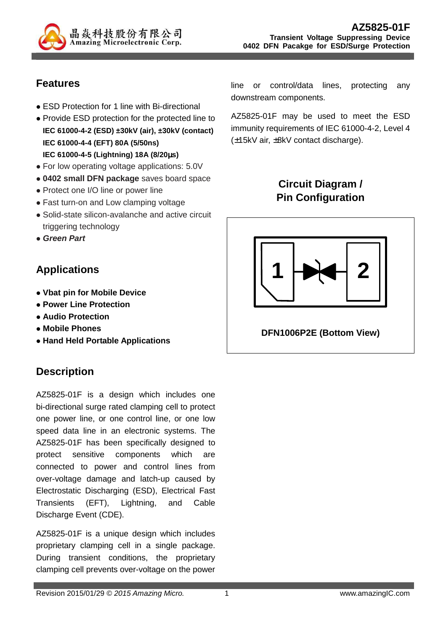

# **Features**

- ESD Protection for 1 line with Bi-directional
- Provide ESD protection for the protected line to **IEC 61000-4-2 (ESD) ±30kV (air), ±30kV (contact) IEC 61000-4-4 (EFT) 80A (5/50ns) IEC 61000-4-5 (Lightning) 18A (8/20**µ**s)**
- For low operating voltage applications: 5.0V
- **0402 small DFN package** saves board space
- Protect one I/O line or power line
- Fast turn-on and Low clamping voltage
- Solid-state silicon-avalanche and active circuit triggering technology
- **Green Part**

# **Applications**

- **Vbat pin for Mobile Device**
- **Power Line Protection**
- **Audio Protection**
- **Mobile Phones**
- **Hand Held Portable Applications**

# **Description**

AZ5825-01F is a design which includes one bi-directional surge rated clamping cell to protect one power line, or one control line, or one low speed data line in an electronic systems. The AZ5825-01F has been specifically designed to protect sensitive components which are connected to power and control lines from over-voltage damage and latch-up caused by Electrostatic Discharging (ESD), Electrical Fast Transients (EFT), Lightning, and Cable Discharge Event (CDE).

AZ5825-01F is a unique design which includes proprietary clamping cell in a single package. During transient conditions, the proprietary clamping cell prevents over-voltage on the power

line or control/data lines, protecting any downstream components.

AZ5825-01F may be used to meet the ESD immunity requirements of IEC 61000-4-2, Level 4 (±15kV air, ±8kV contact discharge).

# **Circuit Diagram / Pin Configuration**

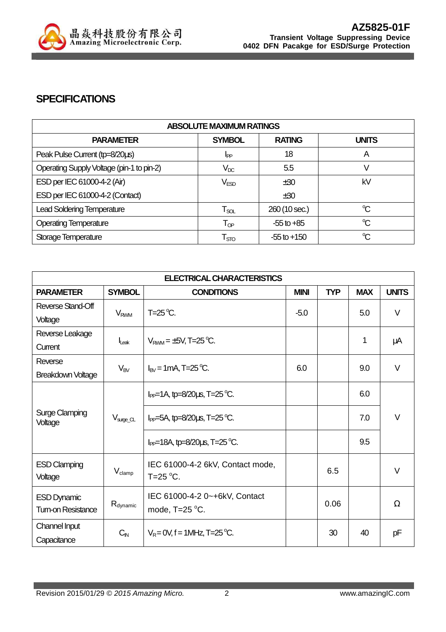

#### **SPECIFICATIONS**

| <b>ABSOLUTE MAXIMUM RATINGS</b>           |                             |                 |                      |  |
|-------------------------------------------|-----------------------------|-----------------|----------------------|--|
| <b>PARAMETER</b>                          | <b>SYMBOL</b>               | <b>RATING</b>   | <b>UNITS</b>         |  |
| Peak Pulse Current (tp=8/20us)            | I <sub>PP</sub>             | 18              | A                    |  |
| Operating Supply Voltage (pin-1 to pin-2) | $V_{DC}$                    | 5.5             |                      |  |
| ESD per IEC 61000-4-2 (Air)               | $V_{ESD}$                   | ±30             | kV                   |  |
| ESD per IEC 61000-4-2 (Contact)           |                             | ±30             |                      |  |
| <b>Lead Soldering Temperature</b>         | $\mathsf{T}_{\mathsf{SOL}}$ | 260 (10 sec.)   | °C                   |  |
| <b>Operating Temperature</b>              | $\mathsf{T}_{\textsf{OP}}$  | $-55$ to $+85$  | $\mathrm{C}$         |  |
| Storage Temperature                       | $\mathsf{T}_{\text{STO}}$   | $-55$ to $+150$ | $\mathrm{C}^{\circ}$ |  |

| <b>ELECTRICAL CHARACTERISTICS</b>                |                          |                                         |             |            |            |              |
|--------------------------------------------------|--------------------------|-----------------------------------------|-------------|------------|------------|--------------|
| <b>PARAMETER</b>                                 | <b>SYMBOL</b>            | <b>CONDITIONS</b>                       | <b>MINI</b> | <b>TYP</b> | <b>MAX</b> | <b>UNITS</b> |
| Reverse Stand-Off                                |                          | $T=25^{\circ}C$ .                       | $-5.0$      |            | 5.0        | $\vee$       |
| Voltage                                          | <b>V<sub>RWM</sub></b>   |                                         |             |            |            |              |
| Reverse Leakage                                  |                          |                                         |             |            | 1          | μA           |
| Current                                          | $I_{\text{Leak}}$        | $V_{RWM} = \pm 5V$ , T=25 °C.           |             |            |            |              |
| Reverse                                          |                          | $I_{\text{RV}}$ = 1 mA, T=25 °C.        | 6.0         |            | 9.0        | V            |
| <b>Breakdown Voltage</b>                         | $V_{BV}$                 |                                         |             |            |            |              |
| <b>Surge Clamping</b><br>Voltage                 | $V_{\text{surface\_CL}}$ | $I_{PP}$ =1A, tp=8/20 $\mu$ s, T=25 °C. |             |            | 6.0        |              |
|                                                  |                          |                                         |             |            |            |              |
|                                                  |                          | $I_{PP}$ =5A, tp=8/20us, T=25 °C.       |             |            | 7.0        | $\vee$       |
|                                                  |                          | $I_{PP}$ =18A, tp=8/20us, T=25 °C.      |             |            | 9.5        |              |
| <b>ESD Clamping</b>                              | $V_{\text{clamp}}$       | IEC 61000-4-2 6kV, Contact mode,        |             | 6.5        |            | $\vee$       |
| Voltage                                          |                          | T=25 $\mathrm{^{\circ}C}$ .             |             |            |            |              |
| <b>ESD Dynamic</b>                               |                          | IEC 61000-4-2 0~+6kV, Contact           |             | 0.06       |            |              |
| $R_{\text{dynamic}}$<br><b>Tum-on Resistance</b> |                          | mode, $T=25$ °C.                        |             |            |            | Ω            |
| Channel Input                                    | $C_{\text{IN}}$          | $V_R = 0V$ , f = 1MHz, T=25 °C.         |             | 30         | 40         | pF           |
| Capacitance                                      |                          |                                         |             |            |            |              |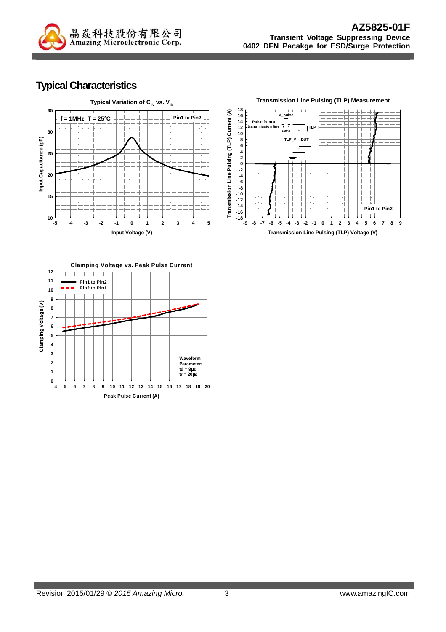

## **Typical Characteristics**





**Pin1 to Pin2**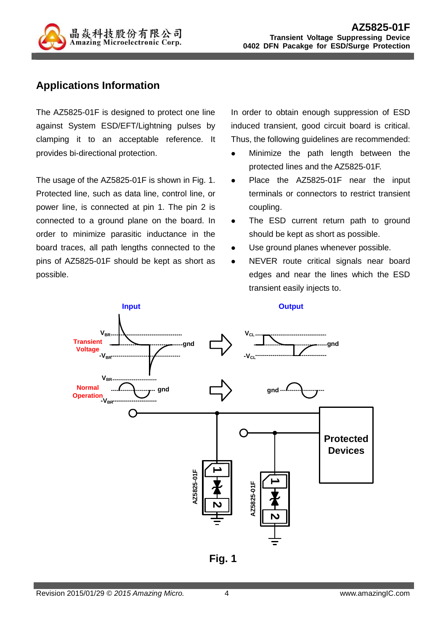

#### **Applications Information**

The AZ5825-01F is designed to protect one line against System ESD/EFT/Lightning pulses by clamping it to an acceptable reference. It provides bi-directional protection.

The usage of the AZ5825-01F is shown in Fig. 1. Protected line, such as data line, control line, or power line, is connected at pin 1. The pin 2 is connected to a ground plane on the board. In order to minimize parasitic inductance in the board traces, all path lengths connected to the pins of AZ5825-01F should be kept as short as possible.

In order to obtain enough suppression of ESD induced transient, good circuit board is critical. Thus, the following guidelines are recommended:

- Minimize the path length between the protected lines and the AZ5825-01F.
- Place the AZ5825-01F near the input terminals or connectors to restrict transient coupling.
- The ESD current return path to ground should be kept as short as possible.
- Use ground planes whenever possible.
- NEVER route critical signals near board edges and near the lines which the ESD transient easily injects to.



**Fig. 1**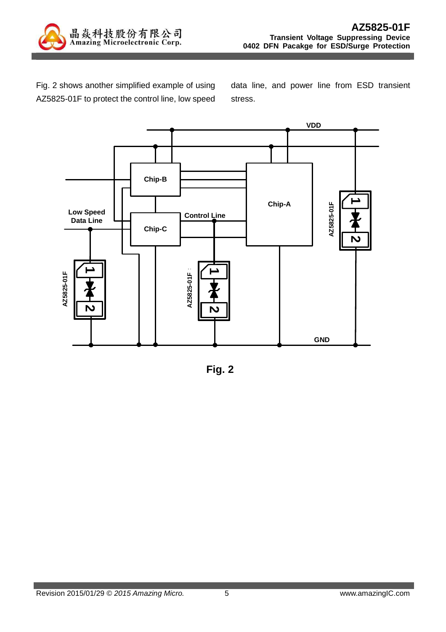

Fig. 2 shows another simplified example of using AZ5825-01F to protect the control line, low speed

data line, and power line from ESD transient stress.



**Fig. 2**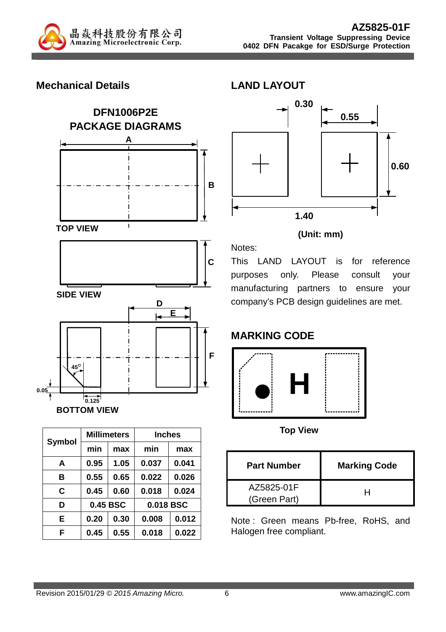

#### **Mechanical Details**





|               |          | <b>Millimeters</b> | <b>Inches</b> |       |  |
|---------------|----------|--------------------|---------------|-------|--|
| <b>Symbol</b> | min      | max                | min           | max   |  |
| A             | 0.95     | 1.05               | 0.037         | 0.041 |  |
| в             | 0.55     | 0.65               | 0.022         | 0.026 |  |
| C             | 0.45     | 0.60               | 0.018         | 0.024 |  |
| D             | 0.45 BSC |                    | 0.018 BSC     |       |  |
| E             | 0.20     | 0.30               | 0.008         | 0.012 |  |
| F             | 0.45     | 0.55               | 0.018         | 0.022 |  |



#### **(Unit: mm)**

This LAND LAYOUT is for reference purposes only. Please consult your manufacturing partners to ensure your company's PCB design guidelines are met.

## **MARKING CODE**



**Top View** 

| <b>Part Number</b>         | <b>Marking Code</b> |
|----------------------------|---------------------|
| AZ5825-01F<br>(Green Part) |                     |

Note : Green means Pb-free, RoHS, and Halogen free compliant.